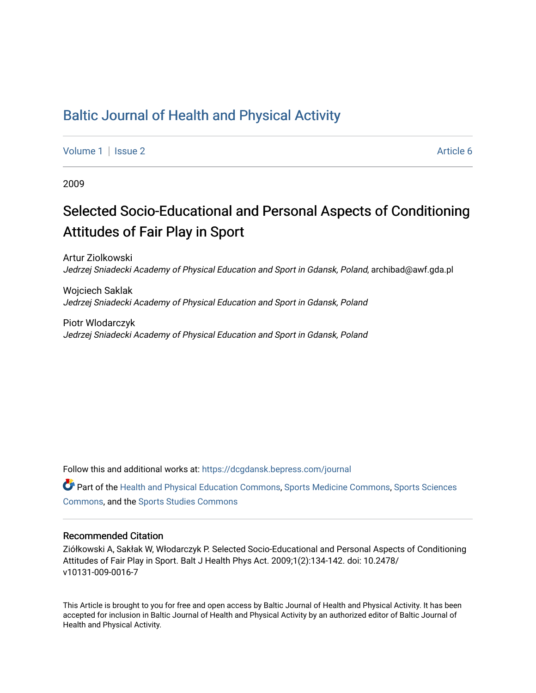## [Baltic Journal of Health and Physical Activity](https://dcgdansk.bepress.com/journal)

[Volume 1](https://dcgdansk.bepress.com/journal/vol1) | [Issue 2](https://dcgdansk.bepress.com/journal/vol1/iss2) Article 6

2009

# Selected Socio-Educational and Personal Aspects of Conditioning Attitudes of Fair Play in Sport

Artur Ziolkowski Jedrzej Sniadecki Academy of Physical Education and Sport in Gdansk, Poland, archibad@awf.gda.pl

Wojciech Saklak Jedrzej Sniadecki Academy of Physical Education and Sport in Gdansk, Poland

Piotr Wlodarczyk Jedrzej Sniadecki Academy of Physical Education and Sport in Gdansk, Poland

Follow this and additional works at: [https://dcgdansk.bepress.com/journal](https://dcgdansk.bepress.com/journal?utm_source=dcgdansk.bepress.com%2Fjournal%2Fvol1%2Fiss2%2F6&utm_medium=PDF&utm_campaign=PDFCoverPages)

Part of the [Health and Physical Education Commons](http://network.bepress.com/hgg/discipline/1327?utm_source=dcgdansk.bepress.com%2Fjournal%2Fvol1%2Fiss2%2F6&utm_medium=PDF&utm_campaign=PDFCoverPages), [Sports Medicine Commons,](http://network.bepress.com/hgg/discipline/1331?utm_source=dcgdansk.bepress.com%2Fjournal%2Fvol1%2Fiss2%2F6&utm_medium=PDF&utm_campaign=PDFCoverPages) [Sports Sciences](http://network.bepress.com/hgg/discipline/759?utm_source=dcgdansk.bepress.com%2Fjournal%2Fvol1%2Fiss2%2F6&utm_medium=PDF&utm_campaign=PDFCoverPages) [Commons](http://network.bepress.com/hgg/discipline/759?utm_source=dcgdansk.bepress.com%2Fjournal%2Fvol1%2Fiss2%2F6&utm_medium=PDF&utm_campaign=PDFCoverPages), and the [Sports Studies Commons](http://network.bepress.com/hgg/discipline/1198?utm_source=dcgdansk.bepress.com%2Fjournal%2Fvol1%2Fiss2%2F6&utm_medium=PDF&utm_campaign=PDFCoverPages) 

#### Recommended Citation

Ziółkowski A, Sakłak W, Włodarczyk P. Selected Socio-Educational and Personal Aspects of Conditioning Attitudes of Fair Play in Sport. Balt J Health Phys Act. 2009;1(2):134-142. doi: 10.2478/ v10131-009-0016-7

This Article is brought to you for free and open access by Baltic Journal of Health and Physical Activity. It has been accepted for inclusion in Baltic Journal of Health and Physical Activity by an authorized editor of Baltic Journal of Health and Physical Activity.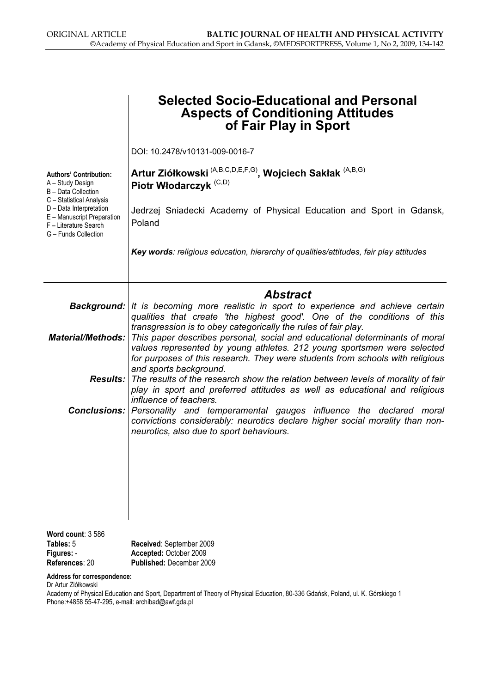|                                                                                                                                    | <b>Selected Socio-Educational and Personal</b><br><b>Aspects of Conditioning Attitudes</b><br>of Fair Play in Sport                                                                                                                                                                        |  |  |  |  |  |  |  |
|------------------------------------------------------------------------------------------------------------------------------------|--------------------------------------------------------------------------------------------------------------------------------------------------------------------------------------------------------------------------------------------------------------------------------------------|--|--|--|--|--|--|--|
|                                                                                                                                    | DOI: 10.2478/v10131-009-0016-7                                                                                                                                                                                                                                                             |  |  |  |  |  |  |  |
| <b>Authors' Contribution:</b><br>A - Study Design<br>B - Data Collection                                                           | Artur Ziółkowski <sup>(A,B,C,D,E,F,G)</sup> , Wojciech Sakłak <sup>(A,B,G)</sup><br>Piotr Włodarczyk <sup>(C,D)</sup>                                                                                                                                                                      |  |  |  |  |  |  |  |
| C - Statistical Analysis<br>D - Data Interpretation<br>E - Manuscript Preparation<br>F - Literature Search<br>G - Funds Collection | Jedrzej Sniadecki Academy of Physical Education and Sport in Gdansk,<br>Poland                                                                                                                                                                                                             |  |  |  |  |  |  |  |
|                                                                                                                                    | Key words: religious education, hierarchy of qualities/attitudes, fair play attitudes                                                                                                                                                                                                      |  |  |  |  |  |  |  |
|                                                                                                                                    | <b>Abstract</b><br><b>Background:</b> It is becoming more realistic in sport to experience and achieve certain<br>qualities that create 'the highest good'. One of the conditions of this<br>transgression is to obey categorically the rules of fair play.                                |  |  |  |  |  |  |  |
|                                                                                                                                    | <b>Material/Methods:</b> This paper describes personal, social and educational determinants of moral<br>values represented by young athletes. 212 young sportsmen were selected<br>for purposes of this research. They were students from schools with religious<br>and sports background. |  |  |  |  |  |  |  |
|                                                                                                                                    | <b>Results:</b> The results of the research show the relation between levels of morality of fair<br>play in sport and preferred attitudes as well as educational and religious                                                                                                             |  |  |  |  |  |  |  |
|                                                                                                                                    | influence of teachers.<br><b>Conclusions:</b> Personality and temperamental gauges influence the declared moral<br>convictions considerably: neurotics declare higher social morality than non-<br>neurotics, also due to sport behaviours.                                                |  |  |  |  |  |  |  |
|                                                                                                                                    |                                                                                                                                                                                                                                                                                            |  |  |  |  |  |  |  |
|                                                                                                                                    |                                                                                                                                                                                                                                                                                            |  |  |  |  |  |  |  |
| Word count: 3 586<br>Tables: 5<br>Figures: -<br>References: 20                                                                     | Received: September 2009<br>Accepted: October 2009<br>Published: December 2009                                                                                                                                                                                                             |  |  |  |  |  |  |  |

Address for correspondence:

Dr Artur Ziółkowski

Academy of Physical Education and Sport, Department of Theory of Physical Education, 80-336 Gdańsk, Poland, ul. K. Górskiego 1 Phone:+4858 55-47-295, e-mail: archibad@awf.gda.pl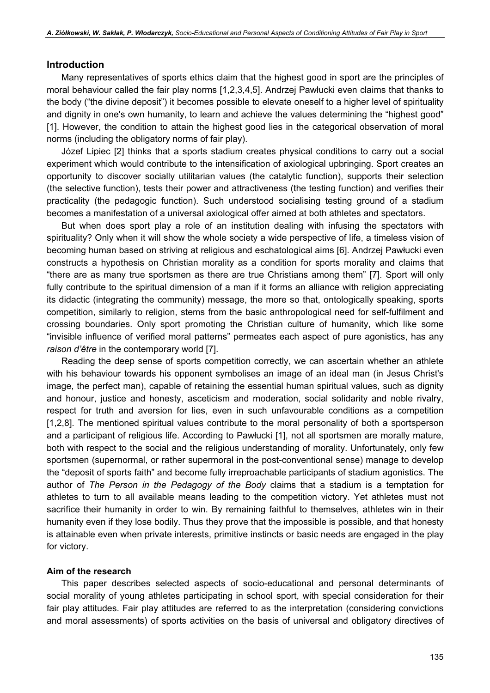#### Introduction

Many representatives of sports ethics claim that the highest good in sport are the principles of moral behaviour called the fair play norms [1,2,3,4,5]. Andrzej Pawłucki even claims that thanks to the body ("the divine deposit") it becomes possible to elevate oneself to a higher level of spirituality and dignity in one's own humanity, to learn and achieve the values determining the "highest good" [1]. However, the condition to attain the highest good lies in the categorical observation of moral norms (including the obligatory norms of fair play).

Józef Lipiec [2] thinks that a sports stadium creates physical conditions to carry out a social experiment which would contribute to the intensification of axiological upbringing. Sport creates an opportunity to discover socially utilitarian values (the catalytic function), supports their selection (the selective function), tests their power and attractiveness (the testing function) and verifies their practicality (the pedagogic function). Such understood socialising testing ground of a stadium becomes a manifestation of a universal axiological offer aimed at both athletes and spectators.

But when does sport play a role of an institution dealing with infusing the spectators with spirituality? Only when it will show the whole society a wide perspective of life, a timeless vision of becoming human based on striving at religious and eschatological aims [6]. Andrzej Pawłucki even constructs a hypothesis on Christian morality as a condition for sports morality and claims that "there are as many true sportsmen as there are true Christians among them" [7]. Sport will only fully contribute to the spiritual dimension of a man if it forms an alliance with religion appreciating its didactic (integrating the community) message, the more so that, ontologically speaking, sports competition, similarly to religion, stems from the basic anthropological need for self-fulfilment and crossing boundaries. Only sport promoting the Christian culture of humanity, which like some "invisible influence of verified moral patterns" permeates each aspect of pure agonistics, has any raison d'être in the contemporary world [7].

Reading the deep sense of sports competition correctly, we can ascertain whether an athlete with his behaviour towards his opponent symbolises an image of an ideal man (in Jesus Christ's image, the perfect man), capable of retaining the essential human spiritual values, such as dignity and honour, justice and honesty, asceticism and moderation, social solidarity and noble rivalry, respect for truth and aversion for lies, even in such unfavourable conditions as a competition [1,2,8]. The mentioned spiritual values contribute to the moral personality of both a sportsperson and a participant of religious life. According to Pawłucki [1], not all sportsmen are morally mature, both with respect to the social and the religious understanding of morality. Unfortunately, only few sportsmen (supernormal, or rather supermoral in the post-conventional sense) manage to develop the "deposit of sports faith" and become fully irreproachable participants of stadium agonistics. The author of The Person in the Pedagogy of the Body claims that a stadium is a temptation for athletes to turn to all available means leading to the competition victory. Yet athletes must not sacrifice their humanity in order to win. By remaining faithful to themselves, athletes win in their humanity even if they lose bodily. Thus they prove that the impossible is possible, and that honesty is attainable even when private interests, primitive instincts or basic needs are engaged in the play for victory.

#### Aim of the research

This paper describes selected aspects of socio-educational and personal determinants of social morality of young athletes participating in school sport, with special consideration for their fair play attitudes. Fair play attitudes are referred to as the interpretation (considering convictions and moral assessments) of sports activities on the basis of universal and obligatory directives of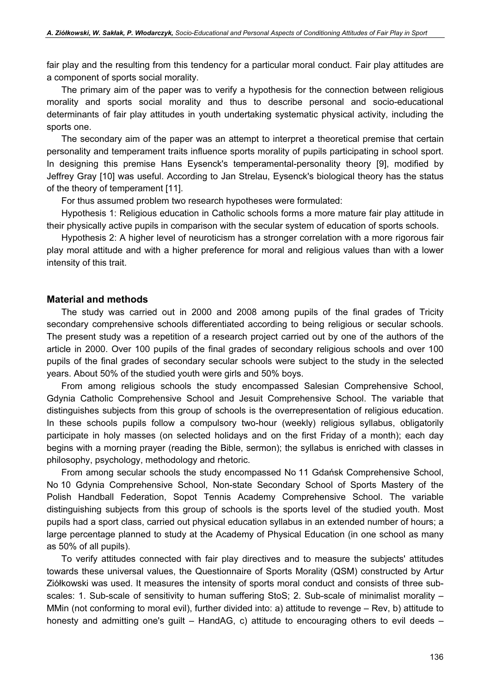fair play and the resulting from this tendency for a particular moral conduct. Fair play attitudes are a component of sports social morality.

The primary aim of the paper was to verify a hypothesis for the connection between religious morality and sports social morality and thus to describe personal and socio-educational determinants of fair play attitudes in youth undertaking systematic physical activity, including the sports one.

The secondary aim of the paper was an attempt to interpret a theoretical premise that certain personality and temperament traits influence sports morality of pupils participating in school sport. In designing this premise Hans Eysenck's temperamental-personality theory [9], modified by Jeffrey Gray [10] was useful. According to Jan Strelau, Eysenck's biological theory has the status of the theory of temperament [11].

For thus assumed problem two research hypotheses were formulated:

Hypothesis 1: Religious education in Catholic schools forms a more mature fair play attitude in their physically active pupils in comparison with the secular system of education of sports schools.

Hypothesis 2: A higher level of neuroticism has a stronger correlation with a more rigorous fair play moral attitude and with a higher preference for moral and religious values than with a lower intensity of this trait.

#### Material and methods

The study was carried out in 2000 and 2008 among pupils of the final grades of Tricity secondary comprehensive schools differentiated according to being religious or secular schools. The present study was a repetition of a research project carried out by one of the authors of the article in 2000. Over 100 pupils of the final grades of secondary religious schools and over 100 pupils of the final grades of secondary secular schools were subject to the study in the selected years. About 50% of the studied youth were girls and 50% boys.

From among religious schools the study encompassed Salesian Comprehensive School, Gdynia Catholic Comprehensive School and Jesuit Comprehensive School. The variable that distinguishes subjects from this group of schools is the overrepresentation of religious education. In these schools pupils follow a compulsory two-hour (weekly) religious syllabus, obligatorily participate in holy masses (on selected holidays and on the first Friday of a month); each day begins with a morning prayer (reading the Bible, sermon); the syllabus is enriched with classes in philosophy, psychology, methodology and rhetoric.

From among secular schools the study encompassed No 11 Gdańsk Comprehensive School, No 10 Gdynia Comprehensive School, Non-state Secondary School of Sports Mastery of the Polish Handball Federation, Sopot Tennis Academy Comprehensive School. The variable distinguishing subjects from this group of schools is the sports level of the studied youth. Most pupils had a sport class, carried out physical education syllabus in an extended number of hours; a large percentage planned to study at the Academy of Physical Education (in one school as many as 50% of all pupils).

To verify attitudes connected with fair play directives and to measure the subjects' attitudes towards these universal values, the Questionnaire of Sports Morality (QSM) constructed by Artur Ziółkowski was used. It measures the intensity of sports moral conduct and consists of three subscales: 1. Sub-scale of sensitivity to human suffering StoS; 2. Sub-scale of minimalist morality – MMin (not conforming to moral evil), further divided into: a) attitude to revenge – Rev, b) attitude to honesty and admitting one's guilt – HandAG, c) attitude to encouraging others to evil deeds –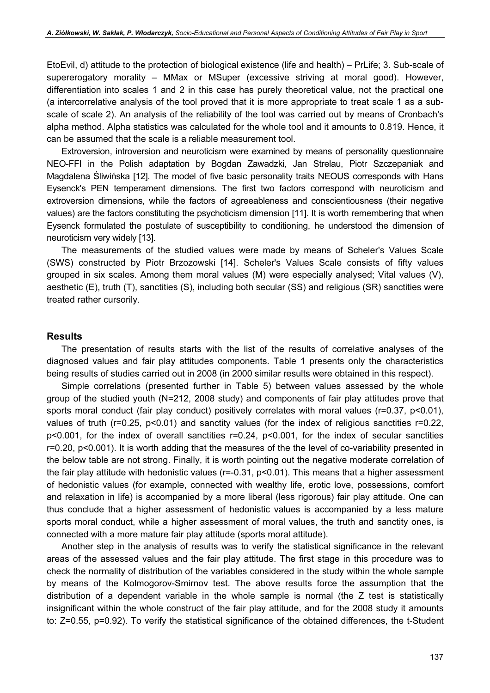EtoEvil, d) attitude to the protection of biological existence (life and health) – PrLife; 3. Sub-scale of supererogatory morality – MMax or MSuper (excessive striving at moral good). However, differentiation into scales 1 and 2 in this case has purely theoretical value, not the practical one (a intercorrelative analysis of the tool proved that it is more appropriate to treat scale 1 as a subscale of scale 2). An analysis of the reliability of the tool was carried out by means of Cronbach's alpha method. Alpha statistics was calculated for the whole tool and it amounts to 0.819. Hence, it can be assumed that the scale is a reliable measurement tool.

Extroversion, introversion and neuroticism were examined by means of personality questionnaire NEO-FFI in the Polish adaptation by Bogdan Zawadzki, Jan Strelau, Piotr Szczepaniak and Magdalena Śliwińska [12]. The model of five basic personality traits NEOUS corresponds with Hans Eysenck's PEN temperament dimensions. The first two factors correspond with neuroticism and extroversion dimensions, while the factors of agreeableness and conscientiousness (their negative values) are the factors constituting the psychoticism dimension [11]. It is worth remembering that when Eysenck formulated the postulate of susceptibility to conditioning, he understood the dimension of neuroticism very widely [13].

The measurements of the studied values were made by means of Scheler's Values Scale (SWS) constructed by Piotr Brzozowski [14]. Scheler's Values Scale consists of fifty values grouped in six scales. Among them moral values (M) were especially analysed; Vital values (V), aesthetic (E), truth (T), sanctities (S), including both secular (SS) and religious (SR) sanctities were treated rather cursorily.

#### Results

The presentation of results starts with the list of the results of correlative analyses of the diagnosed values and fair play attitudes components. Table 1 presents only the characteristics being results of studies carried out in 2008 (in 2000 similar results were obtained in this respect).

Simple correlations (presented further in Table 5) between values assessed by the whole group of the studied youth (N=212, 2008 study) and components of fair play attitudes prove that sports moral conduct (fair play conduct) positively correlates with moral values (r=0.37, p<0.01), values of truth (r=0.25, p<0.01) and sanctity values (for the index of religious sanctities r=0.22, p<0.001, for the index of overall sanctities r=0.24, p<0.001, for the index of secular sanctities r=0.20, p<0.001). It is worth adding that the measures of the the level of co-variability presented in the below table are not strong. Finally, it is worth pointing out the negative moderate correlation of the fair play attitude with hedonistic values (r=-0.31, p<0.01). This means that a higher assessment of hedonistic values (for example, connected with wealthy life, erotic love, possessions, comfort and relaxation in life) is accompanied by a more liberal (less rigorous) fair play attitude. One can thus conclude that a higher assessment of hedonistic values is accompanied by a less mature sports moral conduct, while a higher assessment of moral values, the truth and sanctity ones, is connected with a more mature fair play attitude (sports moral attitude).

Another step in the analysis of results was to verify the statistical significance in the relevant areas of the assessed values and the fair play attitude. The first stage in this procedure was to check the normality of distribution of the variables considered in the study within the whole sample by means of the Kolmogorov-Smirnov test. The above results force the assumption that the distribution of a dependent variable in the whole sample is normal (the Z test is statistically insignificant within the whole construct of the fair play attitude, and for the 2008 study it amounts to: Z=0.55, p=0.92). To verify the statistical significance of the obtained differences, the t-Student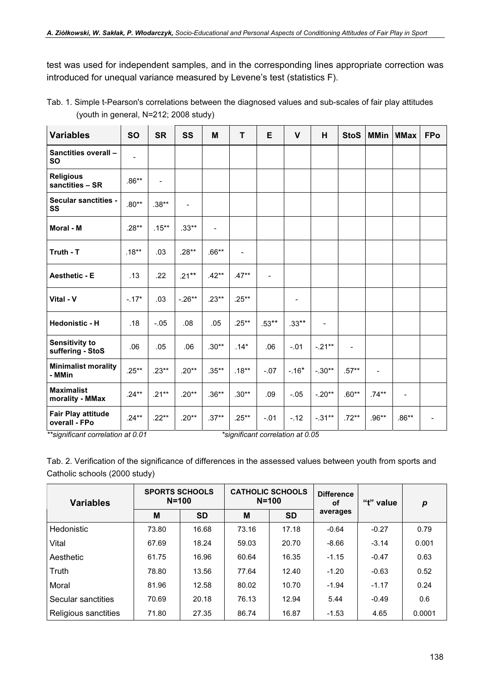test was used for independent samples, and in the corresponding lines appropriate correction was introduced for unequal variance measured by Levene's test (statistics F).

Tab. 1. Simple t-Pearson's correlations between the diagnosed values and sub-scales of fair play attitudes (youth in general, N=212; 2008 study)

| <b>Variables</b>                           | <b>SO</b>                    | <b>SR</b>                | SS                       | M        | T                 | E              | $\mathbf{V}$   | H                        | <b>StoS</b>              | <b>MMin</b>    | <b>MMax</b>                  | <b>FPo</b> |
|--------------------------------------------|------------------------------|--------------------------|--------------------------|----------|-------------------|----------------|----------------|--------------------------|--------------------------|----------------|------------------------------|------------|
| Sanctities overall -<br><b>SO</b>          | $\qquad \qquad \blacksquare$ |                          |                          |          |                   |                |                |                          |                          |                |                              |            |
| <b>Religious</b><br>sanctities - SR        | $.86**$                      | $\overline{\phantom{a}}$ |                          |          |                   |                |                |                          |                          |                |                              |            |
| <b>Secular sanctities -</b><br>SS          | $.80**$                      | $.38**$                  | $\overline{\phantom{0}}$ |          |                   |                |                |                          |                          |                |                              |            |
| Moral - M                                  | $.28**$                      | $.15***$                 | $.33**$                  | L,       |                   |                |                |                          |                          |                |                              |            |
| Truth - T                                  | $.18***$                     | .03                      | $.28**$                  | $.66**$  | $\qquad \qquad -$ |                |                |                          |                          |                |                              |            |
| <b>Aesthetic - E</b>                       | .13                          | .22                      | $.21***$                 | $.42**$  | $.47**$           | $\blacksquare$ |                |                          |                          |                |                              |            |
| Vital - V                                  | $-.17*$                      | .03                      | $-.26**$                 | $.23**$  | $.25**$           |                | $\blacksquare$ |                          |                          |                |                              |            |
| <b>Hedonistic - H</b>                      | .18                          | $-.05$                   | .08                      | .05      | $.25***$          | $.53***$       | $.33***$       | $\overline{\phantom{0}}$ |                          |                |                              |            |
| <b>Sensitivity to</b><br>suffering - StoS  | .06                          | .05                      | .06                      | $.30**$  | $.14*$            | .06            | $-.01$         | $-.21**$                 | $\overline{\phantom{0}}$ |                |                              |            |
| <b>Minimalist morality</b><br>- MMin       | $.25**$                      | $.23**$                  | $.20**$                  | $.35***$ | $.18***$          | $-.07$         | $-.16*$        | $-.30**$                 | $.57**$                  | $\blacksquare$ |                              |            |
| <b>Maximalist</b><br>morality - MMax       | $.24**$                      | $.21***$                 | $.20**$                  | $.36**$  | $.30**$           | .09            | $-.05$         | $-.20**$                 | $.60**$                  | $.74**$        | $\qquad \qquad \blacksquare$ |            |
| <b>Fair Play attitude</b><br>overall - FPo | $.24**$                      | $.22**$                  | $.20**$                  | $.37**$  | $.25***$          | $-.01$         | $-.12$         | $-.31***$                | $.72**$                  | $.96**$        | $.86**$                      |            |

 $*$ significant correlation at 0.01  $*$ significant correlation at 0.05  $*$ 

Tab. 2. Verification of the significance of differences in the assessed values between youth from sports and Catholic schools (2000 study)

| <b>Variables</b>     | <b>SPORTS SCHOOLS</b><br>$N = 100$ |           |       | <b>CATHOLIC SCHOOLS</b><br>$N = 100$ | <b>Difference</b><br>"t" value<br>οf |         | p      |
|----------------------|------------------------------------|-----------|-------|--------------------------------------|--------------------------------------|---------|--------|
|                      | M                                  | <b>SD</b> | M     | <b>SD</b>                            | averages                             |         |        |
| Hedonistic           | 73.80                              | 16.68     | 73.16 | 17.18                                | $-0.64$                              | $-0.27$ | 0.79   |
| Vital                | 67.69                              | 18.24     | 59.03 | 20.70                                | $-8.66$                              | $-3.14$ | 0.001  |
| Aesthetic            | 61.75                              | 16.96     | 60.64 | 16.35                                | $-1.15$                              | $-0.47$ | 0.63   |
| Truth                | 78.80                              | 13.56     | 77.64 | 12.40                                | $-1.20$                              | $-0.63$ | 0.52   |
| Moral                | 81.96                              | 12.58     | 80.02 | 10.70                                | $-1.94$                              | $-1.17$ | 0.24   |
| Secular sanctities   | 70.69                              | 20.18     | 76.13 | 12.94                                | 5.44                                 | $-0.49$ | 0.6    |
| Religious sanctities | 71.80                              | 27.35     | 86.74 | 16.87                                | $-1.53$                              | 4.65    | 0.0001 |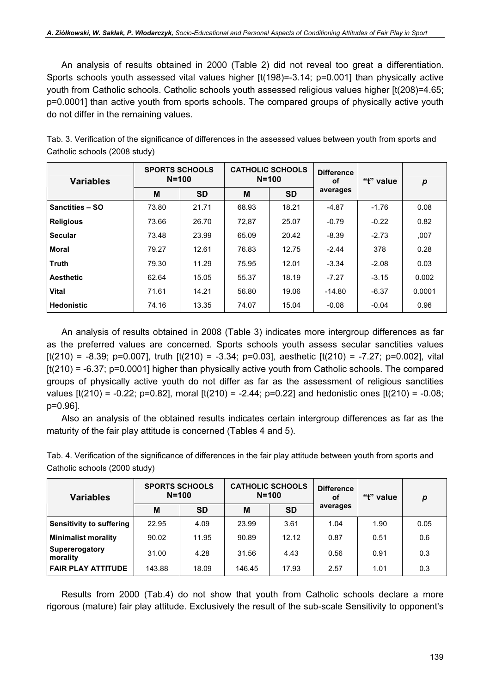An analysis of results obtained in 2000 (Table 2) did not reveal too great a differentiation. Sports schools youth assessed vital values higher [t(198)=-3.14; p=0.001] than physically active youth from Catholic schools. Catholic schools youth assessed religious values higher [t(208)=4.65; p=0.0001] than active youth from sports schools. The compared groups of physically active youth do not differ in the remaining values.

| Tab. 3. Verification of the significance of differences in the assessed values between youth from sports and |
|--------------------------------------------------------------------------------------------------------------|
| Catholic schools (2008 study)                                                                                |

| <b>Variables</b>       | <b>SPORTS SCHOOLS</b><br>$N = 100$ |           |       | <b>CATHOLIC SCHOOLS</b><br>$N = 100$ | <b>Difference</b><br>"t" value<br>οf |         | $\boldsymbol{p}$ |
|------------------------|------------------------------------|-----------|-------|--------------------------------------|--------------------------------------|---------|------------------|
|                        | M                                  | <b>SD</b> | M     | <b>SD</b>                            | averages                             |         |                  |
| <b>Sanctities - SO</b> | 73.80                              | 21.71     | 68.93 | 18.21                                | $-4.87$                              | $-1.76$ | 0.08             |
| <b>Religious</b>       | 73.66                              | 26.70     | 72,87 | 25.07                                | $-0.79$                              | $-0.22$ | 0.82             |
| <b>Secular</b>         | 73.48                              | 23.99     | 65.09 | 20.42                                | $-8.39$                              | $-2.73$ | ,007             |
| Moral                  | 79.27                              | 12.61     | 76.83 | 12.75                                | $-2.44$                              | 378     | 0.28             |
| <b>Truth</b>           | 79.30                              | 11.29     | 75.95 | 12.01                                | $-3.34$                              | $-2.08$ | 0.03             |
| <b>Aesthetic</b>       | 62.64                              | 15.05     | 55.37 | 18.19                                | $-7.27$                              | $-3.15$ | 0.002            |
| <b>Vital</b>           | 71.61                              | 14.21     | 56.80 | 19.06                                | $-14.80$                             | $-6.37$ | 0.0001           |
| <b>Hedonistic</b>      | 74.16                              | 13.35     | 74.07 | 15.04                                | $-0.08$                              | $-0.04$ | 0.96             |

An analysis of results obtained in 2008 (Table 3) indicates more intergroup differences as far as the preferred values are concerned. Sports schools youth assess secular sanctities values  $[t(210) = -8.39; p=0.007]$ , truth  $[t(210) = -3.34; p=0.03]$ , aesthetic  $[t(210) = -7.27; p=0.002]$ , vital [t(210) = -6.37; p=0.0001] higher than physically active youth from Catholic schools. The compared groups of physically active youth do not differ as far as the assessment of religious sanctities values  $[t(210) = -0.22; p=0.82]$ , moral  $[t(210) = -2.44; p=0.22]$  and hedonistic ones  $[t(210) = -0.08;$ p=0.96].

Also an analysis of the obtained results indicates certain intergroup differences as far as the maturity of the fair play attitude is concerned (Tables 4 and 5).

Tab. 4. Verification of the significance of differences in the fair play attitude between youth from sports and Catholic schools (2000 study)

| <b>Variables</b>           | <b>SPORTS SCHOOLS</b><br>$N = 100$ |           |        | <b>CATHOLIC SCHOOLS</b><br>$N = 100$ | <b>Difference</b><br>"t" value<br>οf |      | р    |  |
|----------------------------|------------------------------------|-----------|--------|--------------------------------------|--------------------------------------|------|------|--|
|                            | M                                  | <b>SD</b> | M      | <b>SD</b>                            | averages                             |      |      |  |
| Sensitivity to suffering   | 22.95                              | 4.09      | 23.99  | 3.61                                 | 1.04                                 | 1.90 | 0.05 |  |
| <b>Minimalist morality</b> | 90.02                              | 11.95     | 90.89  | 12.12                                | 0.87                                 | 0.51 | 0.6  |  |
| Supererogatory<br>morality | 31.00                              | 4.28      | 31.56  | 4.43                                 | 0.56                                 | 0.91 | 0.3  |  |
| <b>FAIR PLAY ATTITUDE</b>  | 143.88                             | 18.09     | 146.45 | 17.93                                | 2.57                                 | 1.01 | 0.3  |  |

Results from 2000 (Tab.4) do not show that youth from Catholic schools declare a more rigorous (mature) fair play attitude. Exclusively the result of the sub-scale Sensitivity to opponent's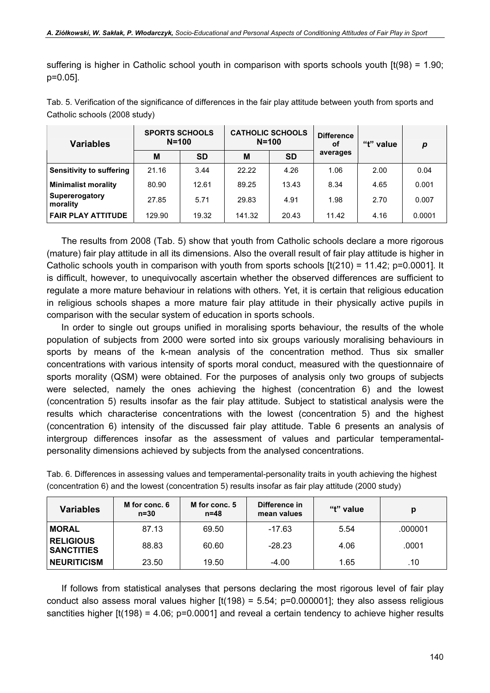suffering is higher in Catholic school youth in comparison with sports schools youth [t(98) = 1.90; p=0.05].

| <b>Variables</b>                | <b>SPORTS SCHOOLS</b><br>$N = 100$ |           |        | <b>CATHOLIC SCHOOLS</b><br>$N = 100$ | <b>Difference</b><br>οf | "t" value | р      |  |
|---------------------------------|------------------------------------|-----------|--------|--------------------------------------|-------------------------|-----------|--------|--|
|                                 | M                                  | <b>SD</b> | Μ      | <b>SD</b>                            | averages                |           |        |  |
| <b>Sensitivity to suffering</b> | 21.16                              | 3.44      | 22.22  | 4.26                                 | 1.06                    | 2.00      | 0.04   |  |
| <b>Minimalist morality</b>      | 80.90                              | 12.61     | 89.25  | 13.43                                | 8.34                    | 4.65      | 0.001  |  |
| Supererogatory<br>morality      | 27.85                              | 5.71      | 29.83  | 4.91                                 | 1.98                    | 2.70      | 0.007  |  |
| <b>FAIR PLAY ATTITUDE</b>       | 129.90                             | 19.32     | 141.32 | 20.43                                | 11.42                   | 4.16      | 0.0001 |  |

Tab. 5. Verification of the significance of differences in the fair play attitude between youth from sports and Catholic schools (2008 study)

The results from 2008 (Tab. 5) show that youth from Catholic schools declare a more rigorous (mature) fair play attitude in all its dimensions. Also the overall result of fair play attitude is higher in Catholic schools youth in comparison with youth from sports schools  $[t(210) = 11.42; p=0.0001]$ . It is difficult, however, to unequivocally ascertain whether the observed differences are sufficient to regulate a more mature behaviour in relations with others. Yet, it is certain that religious education in religious schools shapes a more mature fair play attitude in their physically active pupils in comparison with the secular system of education in sports schools.

In order to single out groups unified in moralising sports behaviour, the results of the whole population of subjects from 2000 were sorted into six groups variously moralising behaviours in sports by means of the k-mean analysis of the concentration method. Thus six smaller concentrations with various intensity of sports moral conduct, measured with the questionnaire of sports morality (QSM) were obtained. For the purposes of analysis only two groups of subjects were selected, namely the ones achieving the highest (concentration 6) and the lowest (concentration 5) results insofar as the fair play attitude. Subject to statistical analysis were the results which characterise concentrations with the lowest (concentration 5) and the highest (concentration 6) intensity of the discussed fair play attitude. Table 6 presents an analysis of intergroup differences insofar as the assessment of values and particular temperamentalpersonality dimensions achieved by subjects from the analysed concentrations.

| <b>Variables</b>                      | M for conc. 6<br>$n=30$ | M for conc. 5<br>$n=48$ | Difference in<br>mean values | "t" value | р       |
|---------------------------------------|-------------------------|-------------------------|------------------------------|-----------|---------|
| <b>MORAL</b>                          | 87.13                   | 69.50                   | -17.63                       | 5.54      | .000001 |
| <b>RELIGIOUS</b><br><b>SANCTITIES</b> | 88.83                   | 60.60                   | $-28.23$                     | 4.06      | .0001   |
| <b>NEURITICISM</b>                    | 23.50                   | 19.50                   | $-4.00$                      | 1.65      | .10     |

Tab. 6. Differences in assessing values and temperamental-personality traits in youth achieving the highest (concentration 6) and the lowest (concentration 5) results insofar as fair play attitude (2000 study)

If follows from statistical analyses that persons declaring the most rigorous level of fair play conduct also assess moral values higher  $[t(198) = 5.54; p=0.000001]$ ; they also assess religious sanctities higher  $[t(198) = 4.06; p=0.0001]$  and reveal a certain tendency to achieve higher results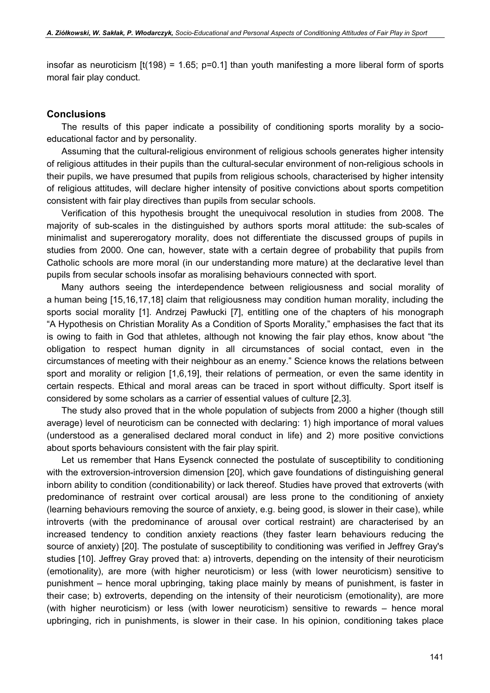insofar as neuroticism  $[t(198) = 1.65; p=0.1]$  than youth manifesting a more liberal form of sports moral fair play conduct.

#### **Conclusions**

The results of this paper indicate a possibility of conditioning sports morality by a socioeducational factor and by personality.

Assuming that the cultural-religious environment of religious schools generates higher intensity of religious attitudes in their pupils than the cultural-secular environment of non-religious schools in their pupils, we have presumed that pupils from religious schools, characterised by higher intensity of religious attitudes, will declare higher intensity of positive convictions about sports competition consistent with fair play directives than pupils from secular schools.

Verification of this hypothesis brought the unequivocal resolution in studies from 2008. The majority of sub-scales in the distinguished by authors sports moral attitude: the sub-scales of minimalist and supererogatory morality, does not differentiate the discussed groups of pupils in studies from 2000. One can, however, state with a certain degree of probability that pupils from Catholic schools are more moral (in our understanding more mature) at the declarative level than pupils from secular schools insofar as moralising behaviours connected with sport.

Many authors seeing the interdependence between religiousness and social morality of a human being [15,16,17,18] claim that religiousness may condition human morality, including the sports social morality [1]. Andrzej Pawłucki [7], entitling one of the chapters of his monograph "A Hypothesis on Christian Morality As a Condition of Sports Morality," emphasises the fact that its is owing to faith in God that athletes, although not knowing the fair play ethos, know about "the obligation to respect human dignity in all circumstances of social contact, even in the circumstances of meeting with their neighbour as an enemy." Science knows the relations between sport and morality or religion [1,6,19], their relations of permeation, or even the same identity in certain respects. Ethical and moral areas can be traced in sport without difficulty. Sport itself is considered by some scholars as a carrier of essential values of culture [2,3].

The study also proved that in the whole population of subjects from 2000 a higher (though still average) level of neuroticism can be connected with declaring: 1) high importance of moral values (understood as a generalised declared moral conduct in life) and 2) more positive convictions about sports behaviours consistent with the fair play spirit.

Let us remember that Hans Eysenck connected the postulate of susceptibility to conditioning with the extroversion-introversion dimension [20], which gave foundations of distinguishing general inborn ability to condition (conditionability) or lack thereof. Studies have proved that extroverts (with predominance of restraint over cortical arousal) are less prone to the conditioning of anxiety (learning behaviours removing the source of anxiety, e.g. being good, is slower in their case), while introverts (with the predominance of arousal over cortical restraint) are characterised by an increased tendency to condition anxiety reactions (they faster learn behaviours reducing the source of anxiety) [20]. The postulate of susceptibility to conditioning was verified in Jeffrey Gray's studies [10]. Jeffrey Gray proved that: a) introverts, depending on the intensity of their neuroticism (emotionality), are more (with higher neuroticism) or less (with lower neuroticism) sensitive to punishment – hence moral upbringing, taking place mainly by means of punishment, is faster in their case; b) extroverts, depending on the intensity of their neuroticism (emotionality), are more (with higher neuroticism) or less (with lower neuroticism) sensitive to rewards – hence moral upbringing, rich in punishments, is slower in their case. In his opinion, conditioning takes place